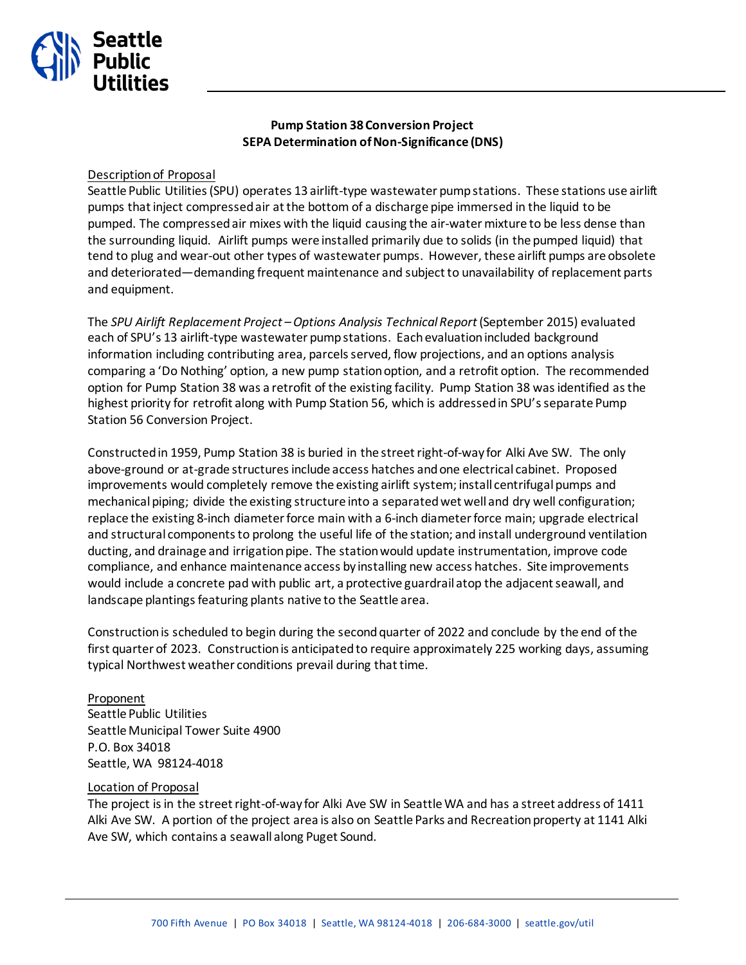

# **Pump Station 38 Conversion Project SEPA Determination of Non-Significance (DNS)**

## Description of Proposal

Seattle Public Utilities (SPU) operates 13 airlift-type wastewater pump stations. These stations use airlift pumps that inject compressed air at the bottom of a discharge pipe immersed in the liquid to be pumped. The compressed air mixes with the liquid causing the air-water mixture to be less dense than the surrounding liquid. Airlift pumps were installed primarily due to solids (in the pumped liquid) that tend to plug and wear-out other types of wastewater pumps. However, these airlift pumps are obsolete and deteriorated—demanding frequent maintenance and subject to unavailability of replacement parts and equipment.

The *SPU Airlift Replacement Project –Options Analysis Technical Report* (September 2015) evaluated each of SPU's 13 airlift-type wastewater pump stations. Each evaluation included background information including contributing area, parcels served, flow projections, and an options analysis comparing a 'Do Nothing' option, a new pump station option, and a retrofit option. The recommended option for Pump Station 38 was a retrofit of the existing facility. Pump Station 38 was identified as the highest priority for retrofit along with Pump Station 56, which is addressed in SPU's separate Pump Station 56 Conversion Project.

Constructed in 1959, Pump Station 38 is buried in the street right-of-way for Alki Ave SW. The only above-ground or at-grade structures include access hatches and one electrical cabinet. Proposed improvements would completely remove the existing airlift system; install centrifugal pumps and mechanical piping; divide the existing structure into a separated wet well and dry well configuration; replace the existing 8-inch diameter force main with a 6-inch diameter force main; upgrade electrical and structural components to prolong the useful life of the station; and install underground ventilation ducting, and drainage and irrigation pipe. The station would update instrumentation, improve code compliance, and enhance maintenance access by installing new access hatches. Site improvements would include a concrete pad with public art, a protective guardrail atop the adjacent seawall, and landscape plantings featuring plants native to the Seattle area.

Construction is scheduled to begin during the second quarter of 2022 and conclude by the end of the first quarter of 2023. Construction is anticipated to require approximately 225 working days, assuming typical Northwest weather conditions prevail during that time.

Proponent Seattle Public Utilities Seattle Municipal Tower Suite 4900 P.O. Box 34018 Seattle, WA 98124-4018

## Location of Proposal

The project is in the street right-of-way for Alki Ave SW in Seattle WA and has a street address of 1411 Alki Ave SW. A portion of the project area is also on Seattle Parks and Recreation property at 1141 Alki Ave SW, which contains a seawall along Puget Sound.